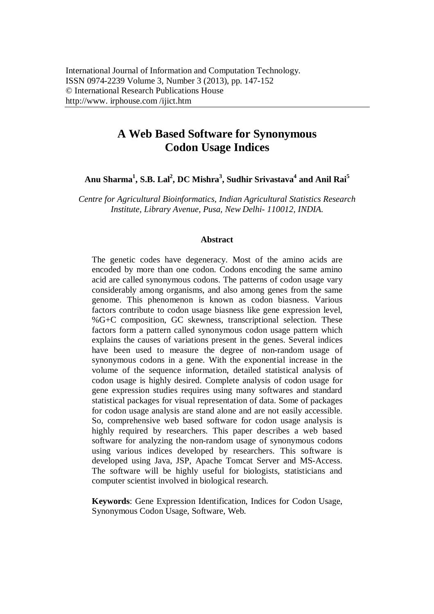# **A Web Based Software for Synonymous Codon Usage Indices**

**Anu Sharma<sup>1</sup> , S.B. Lal<sup>2</sup> , DC Mishra<sup>3</sup> , Sudhir Srivastava<sup>4</sup> and Anil Rai<sup>5</sup>**

*Centre for Agricultural Bioinformatics, Indian Agricultural Statistics Research Institute, Library Avenue, Pusa, New Delhi- 110012, INDIA.*

#### **Abstract**

The genetic codes have degeneracy. Most of the amino acids are encoded by more than one codon. Codons encoding the same amino acid are called synonymous codons. The patterns of codon usage vary considerably among organisms, and also among genes from the same genome. This phenomenon is known as codon biasness. Various factors contribute to codon usage biasness like gene expression level, %G+C composition, GC skewness, transcriptional selection. These factors form a pattern called synonymous codon usage pattern which explains the causes of variations present in the genes. Several indices have been used to measure the degree of non-random usage of synonymous codons in a gene. With the exponential increase in the volume of the sequence information, detailed statistical analysis of codon usage is highly desired. Complete analysis of codon usage for gene expression studies requires using many softwares and standard statistical packages for visual representation of data. Some of packages for codon usage analysis are stand alone and are not easily accessible. So, comprehensive web based software for codon usage analysis is highly required by researchers. This paper describes a web based software for analyzing the non-random usage of synonymous codons using various indices developed by researchers. This software is developed using Java, JSP, Apache Tomcat Server and MS-Access. The software will be highly useful for biologists, statisticians and computer scientist involved in biological research.

**Keywords**: Gene Expression Identification, Indices for Codon Usage, Synonymous Codon Usage, Software, Web.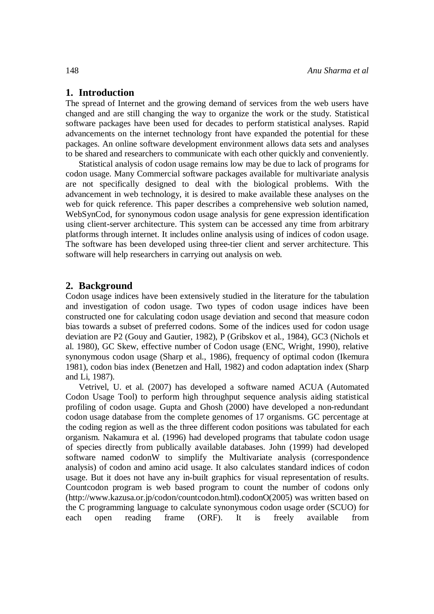### **1. Introduction**

The spread of Internet and the growing demand of services from the web users have changed and are still changing the way to organize the work or the study. Statistical software packages have been used for decades to perform statistical analyses. Rapid advancements on the internet technology front have expanded the potential for these packages. An online software development environment allows data sets and analyses to be shared and researchers to communicate with each other quickly and conveniently.

Statistical analysis of codon usage remains low may be due to lack of programs for codon usage. Many Commercial software packages available for multivariate analysis are not specifically designed to deal with the biological problems. With the advancement in web technology, it is desired to make available these analyses on the web for quick reference. This paper describes a comprehensive web solution named, WebSynCod, for synonymous codon usage analysis for gene expression identification using client-server architecture. This system can be accessed any time from arbitrary platforms through internet. It includes online analysis using of indices of codon usage. The software has been developed using three-tier client and server architecture. This software will help researchers in carrying out analysis on web.

### **2. Background**

Codon usage indices have been extensively studied in the literature for the tabulation and investigation of codon usage. Two types of codon usage indices have been constructed one for calculating codon usage deviation and second that measure codon bias towards a subset of preferred codons. Some of the indices used for codon usage deviation are P2 (Gouy and Gautier, 1982), P (Gribskov et al., 1984), GC3 (Nichols et al. 1980), GC Skew, effective number of Codon usage (ENC, Wright, 1990), relative synonymous codon usage (Sharp et al., 1986), frequency of optimal codon (Ikemura 1981), codon bias index (Benetzen and Hall, 1982) and codon adaptation index (Sharp and Li, 1987).

Vetrivel, U. et al. (2007) has developed a software named ACUA (Automated Codon Usage Tool) to perform high throughput sequence analysis aiding statistical profiling of codon usage. Gupta and Ghosh (2000) have developed a non-redundant codon usage database from the complete genomes of 17 organisms. GC percentage at the coding region as well as the three different codon positions was tabulated for each organism. Nakamura et al. (1996) had developed programs that tabulate codon usage of species directly from publically available databases. John (1999) had developed software named codonW to simplify the Multivariate analysis (correspondence analysis) of codon and amino acid usage. It also calculates standard indices of codon usage. But it does not have any in-built graphics for visual representation of results. Countcodon program is web based program to count the number of codons only (http://www.kazusa.or.jp/codon/countcodon.html).codonO(2005) was written based on the C programming language to calculate synonymous codon usage order (SCUO) for each open reading frame (ORF). It is freely available from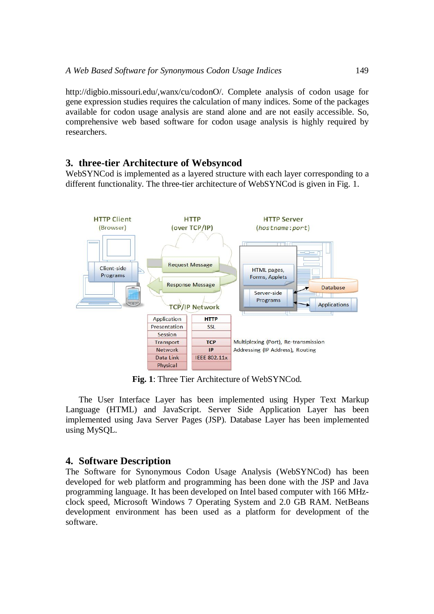http://digbio.missouri.edu/,wanx/cu/codonO/. Complete analysis of codon usage for gene expression studies requires the calculation of many indices. Some of the packages available for codon usage analysis are stand alone and are not easily accessible. So, comprehensive web based software for codon usage analysis is highly required by researchers.

# **3. three-tier Architecture of Websyncod**

WebSYNCod is implemented as a layered structure with each layer corresponding to a different functionality. The three-tier architecture of WebSYNCod is given in Fig. 1.



**Fig. 1**: Three Tier Architecture of WebSYNCod.

The User Interface Layer has been implemented using Hyper Text Markup Language (HTML) and JavaScript. Server Side Application Layer has been implemented using Java Server Pages (JSP). Database Layer has been implemented using MySQL.

# **4. Software Description**

The Software for Synonymous Codon Usage Analysis (WebSYNCod) has been developed for web platform and programming has been done with the JSP and Java programming language. It has been developed on Intel based computer with 166 MHzclock speed, Microsoft Windows 7 Operating System and 2.0 GB RAM. NetBeans development environment has been used as a platform for development of the software.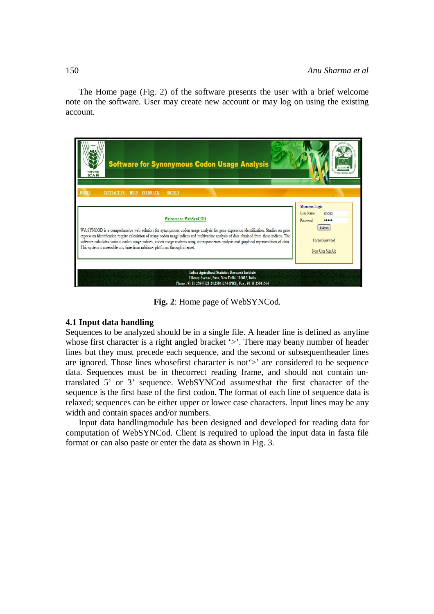The Home page (Fig. 2) of the software presents the user with a brief welcome note on the software. User may create new account or may log on using the existing account.



**Fig. 2**: Home page of WebSYNCod.

# **4.1 Input data handling**

Sequences to be analyzed should be in a single file. A header line is defined as anyline whose first character is a right angled bracket '>'. There may beany number of header lines but they must precede each sequence, and the second or subsequentheader lines are ignored. Those lines whosefirst character is not'>' are considered to be sequence data. Sequences must be in the correct reading frame, and should not contain untranslated 5' or 3' sequence. WebSYNCod assumesthat the first character of the sequence is the first base of the first codon. The format of each line of sequence data is relaxed; sequences can be either upper or lower case characters. Input lines may be any width and contain spaces and/or numbers.

Input data handlingmodule has been designed and developed for reading data for computation of WebSYNCod. Client is required to upload the input data in fasta file format or can also paste or enter the data as shown in Fig. 3.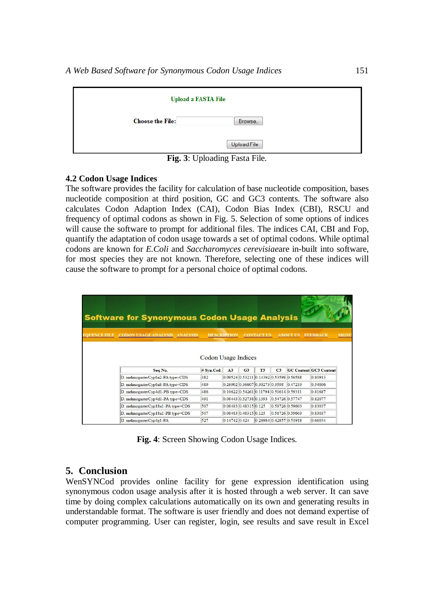|                         | <b>Upload a FASTA File</b> |
|-------------------------|----------------------------|
| <b>Choose the File:</b> | Browse                     |
|                         | Upload File                |

**Fig. 3**: Uploading Fasta File.

### **4.2 Codon Usage Indices**

The software provides the facility for calculation of base nucleotide composition, bases nucleotide composition at third position, GC and GC3 contents. The software also calculates Codon Adaption Index (CAI), Codon Bias Index (CBI), RSCU and frequency of optimal codons as shown in Fig. 5. Selection of some options of indices will cause the software to prompt for additional files. The indices CAI, CBI and Fop, quantify the adaptation of codon usage towards a set of optimal codons. While optimal codons are known for *E.Coli* and *Saccharomyces cerevisiae*are in-built into software, for most species they are not known. Therefore, selecting one of these indices will cause the software to prompt for a personal choice of optimal codons.

|                     | <b>Software for Synonymous Codon Usage Analysis</b> |                     |                                           |                |                   |                |                 |                               |       |
|---------------------|-----------------------------------------------------|---------------------|-------------------------------------------|----------------|-------------------|----------------|-----------------|-------------------------------|-------|
|                     |                                                     |                     |                                           |                |                   |                |                 |                               |       |
| <b>EOUENCE EILE</b> | <b>CODON USAGE ANALYSIS</b><br><b>ANALYSIS</b>      |                     | <b>DESCRIPTION</b>                        |                | <b>CONTACT US</b> |                | <b>ABOUT US</b> | <b>FEEDBACK</b>               | SIGNU |
|                     |                                                     |                     |                                           |                |                   |                |                 |                               |       |
|                     |                                                     |                     |                                           |                |                   |                |                 |                               |       |
|                     |                                                     |                     |                                           |                |                   |                |                 |                               |       |
|                     |                                                     |                     |                                           |                |                   |                |                 |                               |       |
|                     |                                                     | Codon Usage Indices |                                           |                |                   |                |                 |                               |       |
|                     | Seq No.                                             | # Svn.Cod.          | A3                                        | G <sub>3</sub> | <b>T3</b>         | C <sub>3</sub> |                 | <b>GC Content GC3 Content</b> |       |
|                     | D. melanogasterCyp6a2-PA type=CDS                   | 482                 | 0.09524 0.53211 0.14392 0.53598 0.56588   |                |                   |                |                 | 0.80913                       |       |
|                     | D. melanogasterCyp6a8-PA type=CDS                   | 489                 | 0.26902 0.36607 0.30273 0.3598 0.47233    |                |                   |                |                 | 0.54806                       |       |
|                     | D. melanogasterCyp4d1-PB type=CDS                   | 486                 | $0.10622$ 0.54261 0.11794 0.50614 0.59311 |                |                   |                |                 | 0.81687                       |       |
|                     | D. melanogasterCyp4d1-PA type=CDS                   | 491                 | 0.08443 0.52738 0.1393                    |                |                   |                | 0.54726 0.57747 | 0.82077                       |       |
|                     | D. melanogasterCyp18a1-PA type=CDS                  | 507                 | 0.08483 0.48315 0.125                     |                |                   |                | 0.58726 0.59603 | 0.83037                       |       |
|                     | D. melanogasterCyp18a1-PB type=CDS                  | 507                 | 0.08483 0.48315 0.125                     |                |                   |                | 0.58726 0.59603 | 0.83037                       |       |

**Fig. 4**: Screen Showing Codon Usage Indices.

# **5. Conclusion**

WenSYNCod provides online facility for gene expression identification using synonymous codon usage analysis after it is hosted through a web server. It can save time by doing complex calculations automatically on its own and generating results in understandable format. The software is user friendly and does not demand expertise of computer programming. User can register, login, see results and save result in Excel